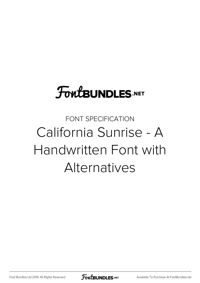# **FoutBUNDLES.NET**

## FONT SPECIFICATION California Sunrise - A Handwritten Font with Alternatives

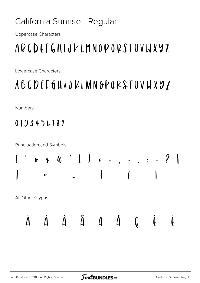### California Sunrise - Regular

**Uppercase Characters** 

## APCDEFGHIJKLMNOPORSTUVWXYZ

Lowercase Characters

### ABCDEE6HAJKLMNOPORSTUVWX97

**Numbers** 

### $0123456199$



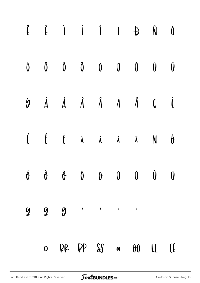|   |              |  |                                      | $\hat{f} \quad \  \  \, \ddot{f} \quad \  \  \, \dot{I} \quad \  \  \, \dot{I} \quad \  \  \, \dot{B} \quad \  \  \, \dot{N} \quad \  \  \, \dot{0}$                           |              |                |
|---|--------------|--|--------------------------------------|--------------------------------------------------------------------------------------------------------------------------------------------------------------------------------|--------------|----------------|
|   |              |  |                                      | $\begin{matrix} \dot{0} & \hat{0} & \tilde{0} & \tilde{0} & 0 & \dot{0} & \dot{0} & \dot{0} & \dot{0} \end{matrix}$                                                            |              |                |
|   |              |  |                                      | $\dot{\mathbf{y}}\qquad \dot{\mathbf{A}}\qquad \dot{\mathbf{A}}\qquad \dot{\mathbf{A}}\qquad \ddot{\mathbf{A}}\qquad \dot{\mathbf{A}}\qquad \mathbf{C}\qquad \dot{\mathbf{t}}$ |              |                |
|   |              |  |                                      | $\label{eq:6} \dot{f} \qquad \hat{f} \qquad \ddot{f} \qquad \dot{\lambda} \qquad \dot{\lambda} \qquad \dot{\lambda} \qquad \dot{\lambda} \qquad N \qquad \dot{\theta}$         |              |                |
|   |              |  |                                      | $\begin{matrix} \dot{\theta} & \dot{\theta} & \ddot{\theta} & \dot{\theta} & \dot{\theta} & \dot{\theta} & \dot{\theta} & \dot{\theta} & \dot{\theta} \end{matrix}$            |              |                |
| Ý | Ÿ            |  | ÿ ' ' " "                            |                                                                                                                                                                                |              |                |
|   | $\mathbf{0}$ |  | $\beta \beta$ $\beta \beta$ $\alpha$ | 00                                                                                                                                                                             | $\mathsf{L}$ | $\mathfrak{h}$ |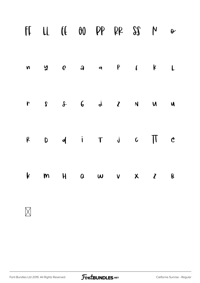|              |  | FILL IE OO PP PR SS M                                                        |  | $\theta$     |
|--------------|--|------------------------------------------------------------------------------|--|--------------|
|              |  | ny ea a P I K                                                                |  | $\mathsf{L}$ |
| $\mathbf{r}$ |  | $S \quad S \quad S \quad G \quad \dot{\phi} \quad Z \quad N \quad M \quad M$ |  |              |
| $\beta$      |  | $D$ d i T j $C$ $\overline{1}$ $C$                                           |  |              |
| $\mathbf{k}$ |  | $M \cup M$ $M \cup M$ $M \cup M$ $M \cup M$                                  |  | $\mathsf{B}$ |
|              |  |                                                                              |  |              |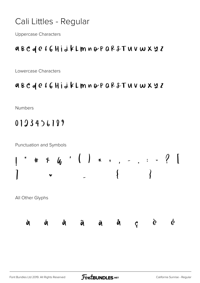#### Cali Littles - Regular

**Uppercase Characters** 

#### aBCdef6HidkLmnoPQR&TUVWX22

Lowercase Characters

#### aBCdef6HidkLmnoPQR&TUVWX22

Numbers

#### 0123456189

**Punctuation and Symbols** 

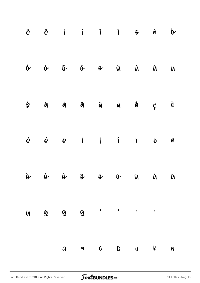|                     |  |  |  | $\hat{e}$ $\ddot{e}$ i i i i $\theta$ $\ddot{\theta}$                                                                                                                                                                                                                                                                                                                                                                                |  |
|---------------------|--|--|--|--------------------------------------------------------------------------------------------------------------------------------------------------------------------------------------------------------------------------------------------------------------------------------------------------------------------------------------------------------------------------------------------------------------------------------------|--|
|                     |  |  |  | $\dot{N} \qquad \dot{N} \qquad \dot{N} \qquad \dot{V} \qquad \dot{\Phi} \qquad \ddot{\Phi} \qquad \dot{\Phi} \qquad \dot{\Phi} \qquad \dot{\Phi}$                                                                                                                                                                                                                                                                                    |  |
|                     |  |  |  | $\dot{z}$ à $\dot{a}$ â $\ddot{a}$ à $\ddot{a}$ $\dot{a}$ $\dot{c}$ è                                                                                                                                                                                                                                                                                                                                                                |  |
|                     |  |  |  | $\begin{array}{ccccccccccccccccc} \not c && \hat{c} && \dot{c} && \dot{c} && \dot{c} && \dot{c} && \dot{c} && \dot{c} && \dot{c} && \dot{c} && \dot{c} && \dot{c} && \dot{c} && \dot{c} && \dot{c} && \dot{c} && \dot{c} && \dot{c} && \dot{c} && \dot{c} && \dot{c} && \dot{c} && \dot{c} && \dot{c} && \dot{c} && \dot{c} && \dot{c} && \dot{c} && \dot{c} && \dot{c} && \dot{c} && \dot{c} && \dot{c} && \dot{c} && \dot{c} && \$ |  |
|                     |  |  |  | $\dot{W} \qquad \dot{W} \qquad \dot{W} \qquad \dot{\Phi} \qquad \ddot{\Phi} \qquad \ddot{\Phi} \qquad \dot{\Phi} \qquad \dot{\Phi} \qquad \dot{\Phi}$                                                                                                                                                                                                                                                                                |  |
| $\ddot{\mathsf{U}}$ |  |  |  |                                                                                                                                                                                                                                                                                                                                                                                                                                      |  |
|                     |  |  |  | $a \quad a \quad c \quad b \quad j \quad k \quad N$                                                                                                                                                                                                                                                                                                                                                                                  |  |